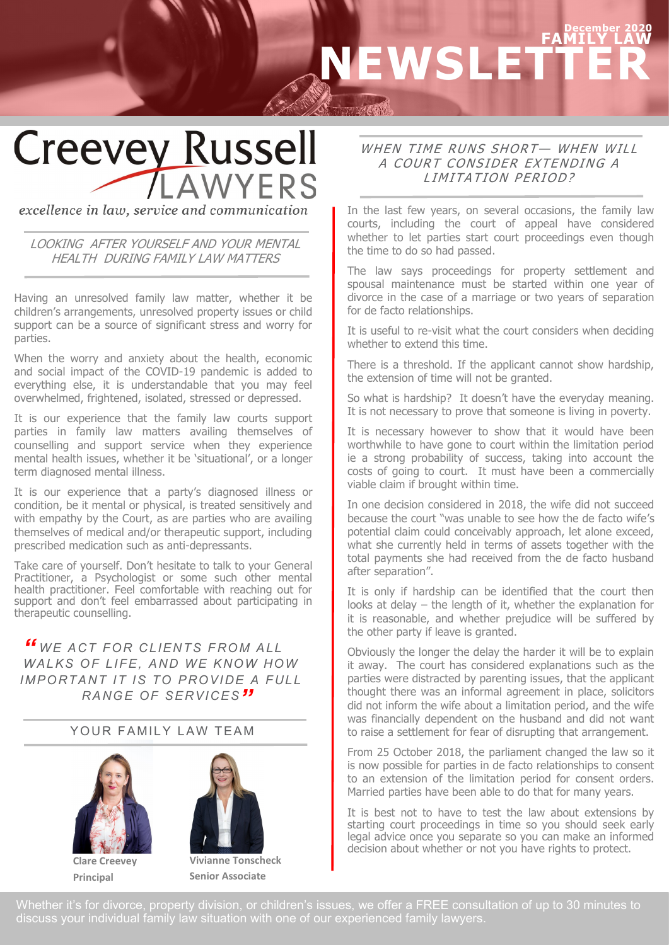## **December 2020 FAMILY LAW NEWSLETTER**

# **Creevey Russell AWYERS**

excellence in law, service and communication

#### LOOKING AFTER YOURSELF AND YOUR MENTAL HEALTH DURING FAMILY LAW MATTERS

Having an unresolved family law matter, whether it be children's arrangements, unresolved property issues or child support can be a source of significant stress and worry for parties.

When the worry and anxiety about the health, economic and social impact of the COVID-19 pandemic is added to everything else, it is understandable that you may feel overwhelmed, frightened, isolated, stressed or depressed.

It is our experience that the family law courts support parties in family law matters availing themselves of counselling and support service when they experience mental health issues, whether it be 'situational', or a longer term diagnosed mental illness.

It is our experience that a party's diagnosed illness or condition, be it mental or physical, is treated sensitively and with empathy by the Court, as are parties who are availing themselves of medical and/or therapeutic support, including prescribed medication such as anti-depressants.

Take care of yourself. Don't hesitate to talk to your General Practitioner, a Psychologist or some such other mental health practitioner. Feel comfortable with reaching out for support and don't feel embarrassed about participating in therapeutic counselling.

**"** WE ACT FOR CLIENTS FROM ALL WALKS OF LIFE, AND WE KNOW HOW *IMPORTANT IT IS TO PROVIDE A FULL RANG E OF SERVICES "*

#### YOUR FAMILY LAW TEAM





**Principal**

**Senior Associate**

#### WHEN TIME RUNS SHORT- WHEN WILL A COURT CONSIDER EXTENDING A LIMITATION PERIOD?

In the last few years, on several occasions, the family law courts, including the court of appeal have considered whether to let parties start court proceedings even though the time to do so had passed.

The law says proceedings for property settlement and spousal maintenance must be started within one year of divorce in the case of a marriage or two years of separation for de facto relationships.

It is useful to re-visit what the court considers when deciding whether to extend this time.

There is a threshold. If the applicant cannot show hardship, the extension of time will not be granted.

So what is hardship? It doesn't have the everyday meaning. It is not necessary to prove that someone is living in poverty.

It is necessary however to show that it would have been worthwhile to have gone to court within the limitation period ie a strong probability of success, taking into account the costs of going to court. It must have been a commercially viable claim if brought within time.

In one decision considered in 2018, the wife did not succeed because the court "was unable to see how the de facto wife's potential claim could conceivably approach, let alone exceed, what she currently held in terms of assets together with the total payments she had received from the de facto husband after separation".

It is only if hardship can be identified that the court then looks at delay – the length of it, whether the explanation for it is reasonable, and whether prejudice will be suffered by the other party if leave is granted.

Obviously the longer the delay the harder it will be to explain it away. The court has considered explanations such as the parties were distracted by parenting issues, that the applicant thought there was an informal agreement in place, solicitors did not inform the wife about a limitation period, and the wife was financially dependent on the husband and did not want to raise a settlement for fear of disrupting that arrangement.

From 25 October 2018, the parliament changed the law so it is now possible for parties in de facto relationships to consent to an extension of the limitation period for consent orders. Married parties have been able to do that for many years.

It is best not to have to test the law about extensions by starting court proceedings in time so you should seek early legal advice once you separate so you can make an informed decision about whether or not you have rights to protect.

Whether it's for divorce, property division, or children's issues, we offer a FREE consultation of up to 30 minutes to discuss your individual family law situation with one of our experienced family lawyers.